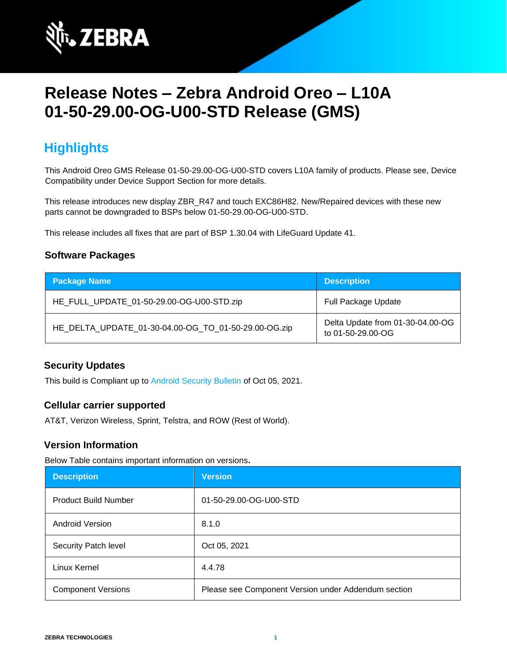

# **Release Notes – Zebra Android Oreo – L10A 01-50-29.00-OG-U00-STD Release (GMS)**

### **Highlights**

This Android Oreo GMS Release 01-50-29.00-OG-U00-STD covers L10A family of products. Please see, Device Compatibility under Device Support Section for more details.

This release introduces new display ZBR\_R47 and touch EXC86H82. New/Repaired devices with these new parts cannot be downgraded to BSPs below 01-50-29.00-OG-U00-STD.

This release includes all fixes that are part of BSP 1.30.04 with LifeGuard Update 41.

#### **Software Packages**

| <b>Package Name</b>                                  | <b>Description</b>                                    |
|------------------------------------------------------|-------------------------------------------------------|
| HE_FULL_UPDATE_01-50-29.00-OG-U00-STD.zip            | <b>Full Package Update</b>                            |
| HE_DELTA_UPDATE_01-30-04.00-OG_TO_01-50-29.00-OG.zip | Delta Update from 01-30-04.00-OG<br>to 01-50-29.00-OG |

#### **Security Updates**

This build is Compliant up to [Android Security Bulletin](https://source.android.com/security/bulletin/) of Oct 05, 2021.

#### **Cellular carrier supported**

AT&T, Verizon Wireless, Sprint, Telstra, and ROW (Rest of World).

#### **Version Information**

Below Table contains important information on versions**.**

| <b>Description</b>          | <b>Version</b>                                      |
|-----------------------------|-----------------------------------------------------|
| <b>Product Build Number</b> | 01-50-29.00-OG-U00-STD                              |
| <b>Android Version</b>      | 8.1.0                                               |
| Security Patch level        | Oct 05, 2021                                        |
| Linux Kernel                | 4.4.78                                              |
| <b>Component Versions</b>   | Please see Component Version under Addendum section |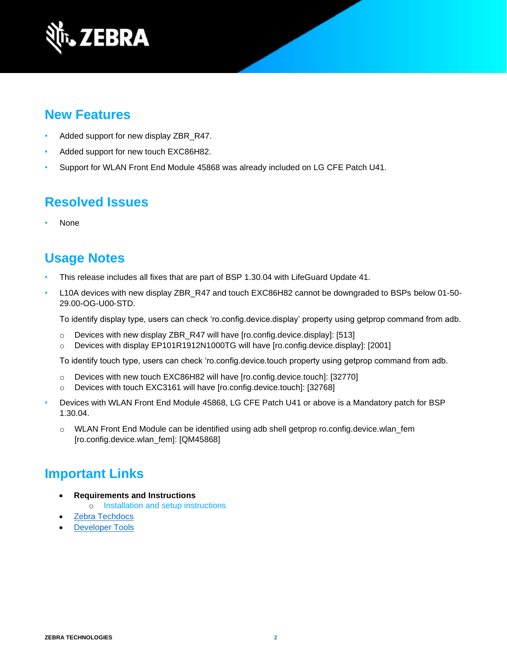

#### **New Features**

- Added support for new display ZBR\_R47.
- Added support for new touch EXC86H82.
- Support for WLAN Front End Module 45868 was already included on LG CFE Patch U41.

### **Resolved Issues**

• None

### **Usage Notes**

- This release includes all fixes that are part of BSP 1.30.04 with LifeGuard Update 41.
- L10A devices with new display ZBR\_R47 and touch EXC86H82 cannot be downgraded to BSPs below 01-50-29.00-OG-U00-STD.

To identify display type, users can check 'ro.config.device.display' property using getprop command from adb.

- o Devices with new display ZBR\_R47 will have [ro.config.device.display]: [513]
- o Devices with display EP101R1912N1000TG will have [ro.config.device.display]: [2001]

To identify touch type, users can check 'ro.config.device.touch property using getprop command from adb.

- o Devices with new touch EXC86H82 will have [ro.config.device.touch]: [32770]
- o Devices with touch EXC3161 will have [ro.config.device.touch]: [32768]
- Devices with WLAN Front End Module 45868, LG CFE Patch U41 or above is a Mandatory patch for BSP 1.30.04.
	- $\circ$  WLAN Front End Module can be identified using adb shell getprop ro.config.device.wlan fem [ro.config.device.wlan\_fem]: [QM45868]

### **Important Links**

- **Requirements and Instructions** 
	- o [Installation and setup instructions](https://www.zebra.com/content/dam/zebra_new_ia/en-us/software/operating-system/helios/oreo-os-update-instructions.pdf)
- [Zebra Techdocs](https://techdocs.zebra.com/)
- **[Developer Tools](https://developer.zebra.com/)**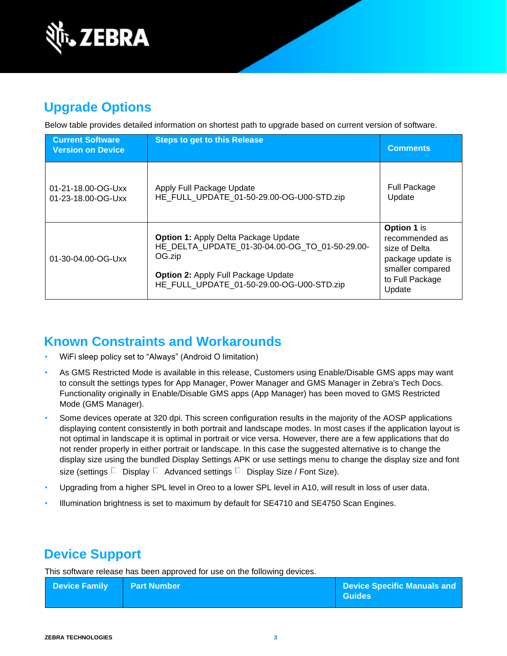

## **Upgrade Options**

Below table provides detailed information on shortest path to upgrade based on current version of software.

| <b>Current Software</b><br><b>Version on Device</b> | <b>Steps to get to this Release</b>                                                                                                                                                                | <b>Comments</b>                                                                                                      |
|-----------------------------------------------------|----------------------------------------------------------------------------------------------------------------------------------------------------------------------------------------------------|----------------------------------------------------------------------------------------------------------------------|
| 01-21-18.00-OG-Uxx<br>01-23-18.00-OG-Uxx            | Apply Full Package Update<br>HE FULL UPDATE 01-50-29.00-OG-U00-STD.zip                                                                                                                             | <b>Full Package</b><br>Update                                                                                        |
| 01-30-04.00-OG-Uxx                                  | <b>Option 1: Apply Delta Package Update</b><br>HE DELTA UPDATE 01-30-04.00-OG TO 01-50-29.00-<br>OG.zip<br><b>Option 2: Apply Full Package Update</b><br>HE FULL UPDATE 01-50-29.00-OG-U00-STD.zip | Option 1 is<br>recommended as<br>size of Delta<br>package update is<br>smaller compared<br>to Full Package<br>Update |

## **Known Constraints and Workarounds**

- WiFi sleep policy set to "Always" (Android O limitation)
- As GMS Restricted Mode is available in this release, Customers using Enable/Disable GMS apps may want to consult the settings types for App Manager, Power Manager and GMS Manager in Zebra's Tech Docs. Functionality originally in Enable/Disable GMS apps (App Manager) has been moved to GMS Restricted Mode (GMS Manager).
- Some devices operate at 320 dpi. This screen configuration results in the majority of the AOSP applications displaying content consistently in both portrait and landscape modes. In most cases if the application layout is not optimal in landscape it is optimal in portrait or vice versa. However, there are a few applications that do not render properly in either portrait or landscape. In this case the suggested alternative is to change the display size using the bundled Display Settings APK or use settings menu to change the display size and font size (settings  $\Box$  Display  $\Box$  Advanced settings  $\Box$  Display Size / Font Size).
- Upgrading from a higher SPL level in Oreo to a lower SPL level in A10, will result in loss of user data.
- Illumination brightness is set to maximum by default for SE4710 and SE4750 Scan Engines.

## **Device Support**

This software release has been approved for use on the following devices.

| <b>Device Family   Part Number</b> | <b>Device Specific Manuals and</b><br>  Guides |
|------------------------------------|------------------------------------------------|
|                                    |                                                |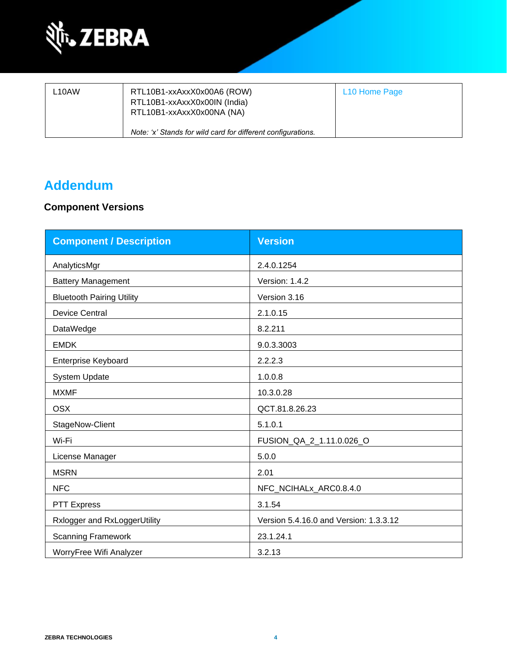

| L <sub>10</sub> AW | RTL10B1-xxAxxX0x00A6 (ROW)<br>RTL10B1-xxAxxX0x00IN (India)<br>RTL10B1-xxAxxX0x00NA (NA) | L <sub>10</sub> Home Page |
|--------------------|-----------------------------------------------------------------------------------------|---------------------------|
|                    | Note: 'x' Stands for wild card for different configurations.                            |                           |

### **Addendum**

#### **Component Versions**

| <b>Component / Description</b>   | <b>Version</b>                         |
|----------------------------------|----------------------------------------|
| AnalyticsMgr                     | 2.4.0.1254                             |
| <b>Battery Management</b>        | Version: 1.4.2                         |
| <b>Bluetooth Pairing Utility</b> | Version 3.16                           |
| <b>Device Central</b>            | 2.1.0.15                               |
| DataWedge                        | 8.2.211                                |
| <b>EMDK</b>                      | 9.0.3.3003                             |
| <b>Enterprise Keyboard</b>       | 2.2.2.3                                |
| System Update                    | 1.0.0.8                                |
| <b>MXMF</b>                      | 10.3.0.28                              |
| <b>OSX</b>                       | QCT.81.8.26.23                         |
| StageNow-Client                  | 5.1.0.1                                |
| Wi-Fi                            | FUSION_QA_2_1.11.0.026_O               |
| License Manager                  | 5.0.0                                  |
| <b>MSRN</b>                      | 2.01                                   |
| <b>NFC</b>                       | NFC_NCIHALx_ARC0.8.4.0                 |
| <b>PTT Express</b>               | 3.1.54                                 |
| Rxlogger and RxLoggerUtility     | Version 5.4.16.0 and Version: 1.3.3.12 |
| <b>Scanning Framework</b>        | 23.1.24.1                              |
| WorryFree Wifi Analyzer          | 3.2.13                                 |